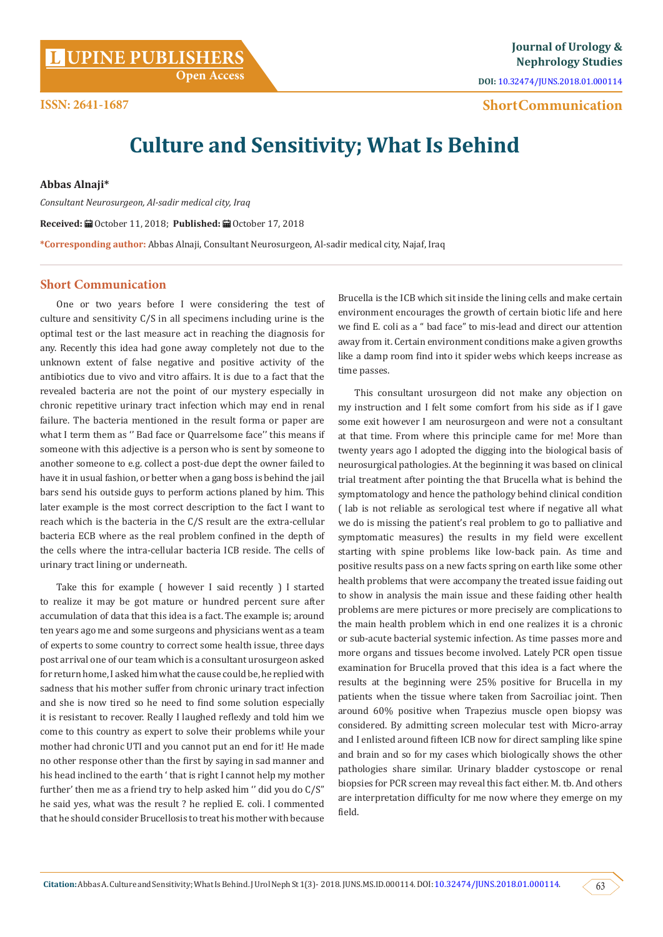# **L [UPINE PUBLISHERS](http://www.lupinepublishers.com/)**<br> **L UPINE PUBLISHERS**

**Nephrology Studies**

**DOI:** [10.32474/JUNS.2018.01.000114](http://dx.doi.org/10.32474/JUNS.2018.01.000114)

 **Short Communication**

# **Culture and Sensitivity; What Is Behind**

**Abbas Alnaji\***

*Consultant Neurosurgeon, Al-sadir medical city, Iraq*

Received: □ October 11, 2018; Published: ■ October 17, 2018

**\*Corresponding author:** Abbas Alnaji, Consultant Neurosurgeon, Al-sadir medical city, Najaf, Iraq

#### **Short Communication**

One or two years before I were considering the test of culture and sensitivity C/S in all specimens including urine is the optimal test or the last measure act in reaching the diagnosis for any. Recently this idea had gone away completely not due to the unknown extent of false negative and positive activity of the antibiotics due to vivo and vitro affairs. It is due to a fact that the revealed bacteria are not the point of our mystery especially in chronic repetitive urinary tract infection which may end in renal failure. The bacteria mentioned in the result forma or paper are what I term them as '' Bad face or Quarrelsome face'' this means if someone with this adjective is a person who is sent by someone to another someone to e.g. collect a post-due dept the owner failed to have it in usual fashion, or better when a gang boss is behind the jail bars send his outside guys to perform actions planed by him. This later example is the most correct description to the fact I want to reach which is the bacteria in the C/S result are the extra-cellular bacteria ECB where as the real problem confined in the depth of the cells where the intra-cellular bacteria ICB reside. The cells of urinary tract lining or underneath.

Take this for example ( however I said recently ) I started to realize it may be got mature or hundred percent sure after accumulation of data that this idea is a fact. The example is; around ten years ago me and some surgeons and physicians went as a team of experts to some country to correct some health issue, three days post arrival one of our team which is a consultant urosurgeon asked for return home, I asked him what the cause could be, he replied with sadness that his mother suffer from chronic urinary tract infection and she is now tired so he need to find some solution especially it is resistant to recover. Really I laughed reflexly and told him we come to this country as expert to solve their problems while your mother had chronic UTI and you cannot put an end for it! He made no other response other than the first by saying in sad manner and his head inclined to the earth ' that is right I cannot help my mother further' then me as a friend try to help asked him '' did you do C/S" he said yes, what was the result ? he replied E. coli. I commented that he should consider Brucellosis to treat his mother with because

Brucella is the ICB which sit inside the lining cells and make certain environment encourages the growth of certain biotic life and here we find E. coli as a " bad face" to mis-lead and direct our attention away from it. Certain environment conditions make a given growths like a damp room find into it spider webs which keeps increase as time passes.

This consultant urosurgeon did not make any objection on my instruction and I felt some comfort from his side as if I gave some exit however I am neurosurgeon and were not a consultant at that time. From where this principle came for me! More than twenty years ago I adopted the digging into the biological basis of neurosurgical pathologies. At the beginning it was based on clinical trial treatment after pointing the that Brucella what is behind the symptomatology and hence the pathology behind clinical condition ( lab is not reliable as serological test where if negative all what we do is missing the patient's real problem to go to palliative and symptomatic measures) the results in my field were excellent starting with spine problems like low-back pain. As time and positive results pass on a new facts spring on earth like some other health problems that were accompany the treated issue faiding out to show in analysis the main issue and these faiding other health problems are mere pictures or more precisely are complications to the main health problem which in end one realizes it is a chronic or sub-acute bacterial systemic infection. As time passes more and more organs and tissues become involved. Lately PCR open tissue examination for Brucella proved that this idea is a fact where the results at the beginning were 25% positive for Brucella in my patients when the tissue where taken from Sacroiliac joint. Then around 60% positive when Trapezius muscle open biopsy was considered. By admitting screen molecular test with Micro-array and I enlisted around fifteen ICB now for direct sampling like spine and brain and so for my cases which biologically shows the other pathologies share similar. Urinary bladder cystoscope or renal biopsies for PCR screen may reveal this fact either. M. tb. And others are interpretation difficulty for me now where they emerge on my field.